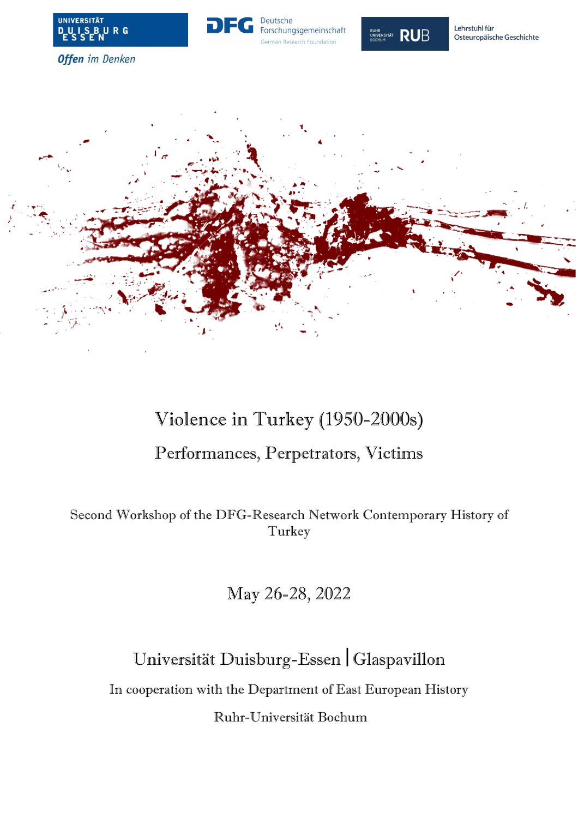





Lehrstuhl für Osteuropäische Geschichte

**Offen** im Denken



# Violence in Turkey (1950-2000s) Performances, Perpetrators, Victims

Second Workshop of the DFG-Research Network Contemporary History of Turkey

May 26-28, 2022

Universität Duisburg-Essen Glaspavillon

In cooperation with the Department of East European History

Ruhr-Universität Bochum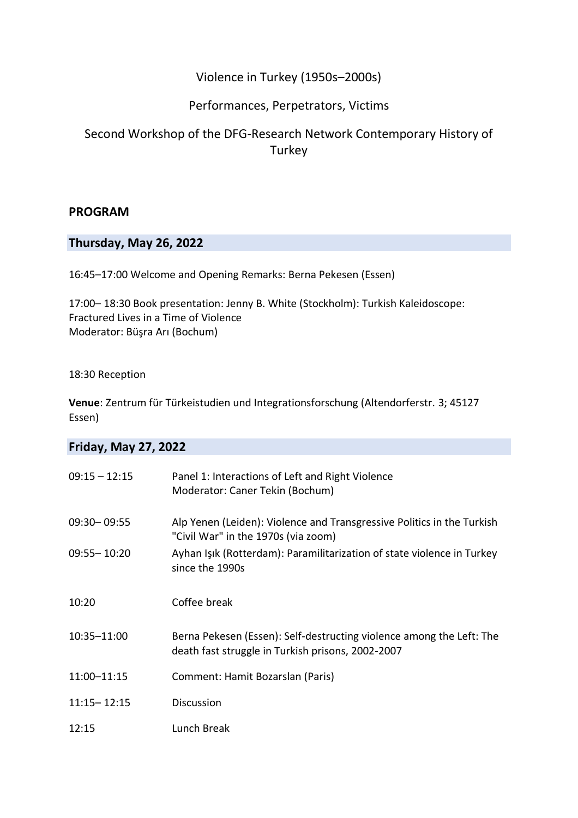## Violence in Turkey (1950s–2000s)

### Performances, Perpetrators, Victims

# Second Workshop of the DFG-Research Network Contemporary History of **Turkey**

#### **PROGRAM**

#### **Thursday, May 26, 2022**

16:45–17:00 Welcome and Opening Remarks: Berna Pekesen (Essen)

17:00– 18:30 Book presentation: Jenny B. White (Stockholm): Turkish Kaleidoscope: Fractured Lives in a Time of Violence Moderator: Büşra Arı (Bochum)

#### 18:30 Reception

**Venue**: Zentrum für Türkeistudien und Integrationsforschung (Altendorferstr. 3; 45127 Essen)

| <b>Friday, May 27, 2022</b> |                                                                                                                           |  |
|-----------------------------|---------------------------------------------------------------------------------------------------------------------------|--|
| $09:15 - 12:15$             | Panel 1: Interactions of Left and Right Violence<br>Moderator: Caner Tekin (Bochum)                                       |  |
| 09:30 - 09:55               | Alp Yenen (Leiden): Violence and Transgressive Politics in the Turkish<br>"Civil War" in the 1970s (via zoom)             |  |
| $09:55 - 10:20$             | Ayhan Işık (Rotterdam): Paramilitarization of state violence in Turkey<br>since the 1990s                                 |  |
| 10:20                       | Coffee break                                                                                                              |  |
| 10:35-11:00                 | Berna Pekesen (Essen): Self-destructing violence among the Left: The<br>death fast struggle in Turkish prisons, 2002-2007 |  |
| 11:00-11:15                 | Comment: Hamit Bozarslan (Paris)                                                                                          |  |
| $11:15 - 12:15$             | <b>Discussion</b>                                                                                                         |  |
| 12:15                       | Lunch Break                                                                                                               |  |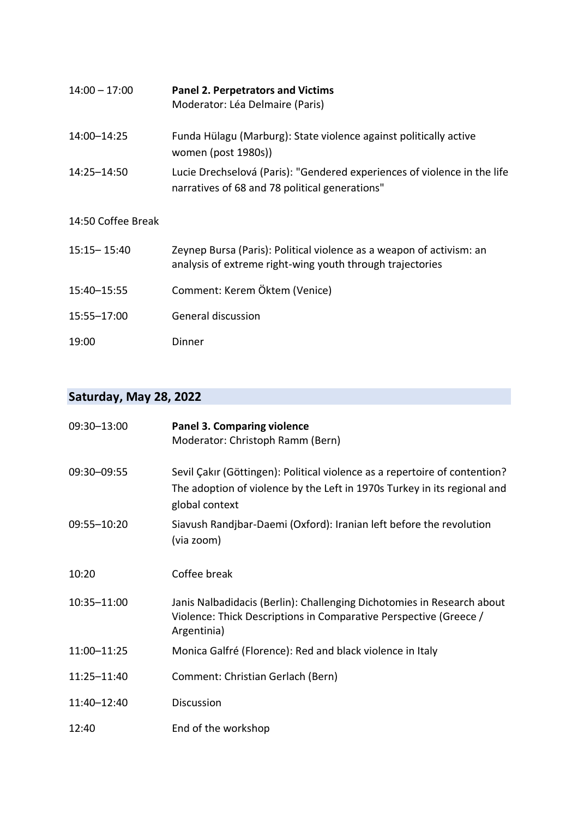| $14:00 - 17:00$    | <b>Panel 2. Perpetrators and Victims</b><br>Moderator: Léa Delmaire (Paris)                                                       |
|--------------------|-----------------------------------------------------------------------------------------------------------------------------------|
| 14:00-14:25        | Funda Hülagu (Marburg): State violence against politically active<br>women (post 1980s))                                          |
| 14:25-14:50        | Lucie Drechselová (Paris): "Gendered experiences of violence in the life<br>narratives of 68 and 78 political generations"        |
| 14:50 Coffee Break |                                                                                                                                   |
| $15:15 - 15:40$    | Zeynep Bursa (Paris): Political violence as a weapon of activism: an<br>analysis of extreme right-wing youth through trajectories |
| 15:40-15:55        | Comment: Kerem Öktem (Venice)                                                                                                     |
| 15:55-17:00        | General discussion                                                                                                                |
| 19:00              | Dinner                                                                                                                            |

# **Saturday, May 28, 2022**

| 09:30-13:00 | <b>Panel 3. Comparing violence</b><br>Moderator: Christoph Ramm (Bern)                                                                                                   |
|-------------|--------------------------------------------------------------------------------------------------------------------------------------------------------------------------|
| 09:30-09:55 | Sevil Çakır (Göttingen): Political violence as a repertoire of contention?<br>The adoption of violence by the Left in 1970s Turkey in its regional and<br>global context |
| 09:55-10:20 | Siavush Randjbar-Daemi (Oxford): Iranian left before the revolution<br>(via zoom)                                                                                        |
| 10:20       | Coffee break                                                                                                                                                             |
| 10:35-11:00 | Janis Nalbadidacis (Berlin): Challenging Dichotomies in Research about<br>Violence: Thick Descriptions in Comparative Perspective (Greece /<br>Argentinia)               |
| 11:00-11:25 | Monica Galfré (Florence): Red and black violence in Italy                                                                                                                |
| 11:25-11:40 | Comment: Christian Gerlach (Bern)                                                                                                                                        |
| 11:40-12:40 | <b>Discussion</b>                                                                                                                                                        |
| 12:40       | End of the workshop                                                                                                                                                      |